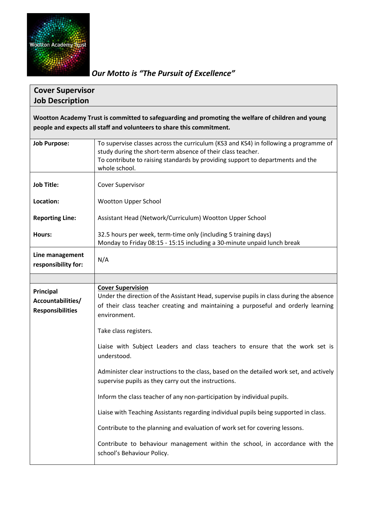

*Our Motto is "The Pursuit of Excellence"*

## **Cover Supervisor Job Description**

**Wootton Academy Trust is committed to safeguarding and promoting the welfare of children and young people and expects all staff and volunteers to share this commitment.**

| <b>Job Purpose:</b>                                       | To supervise classes across the curriculum (KS3 and KS4) in following a programme of<br>study during the short-term absence of their class teacher.<br>To contribute to raising standards by providing support to departments and the<br>whole school. |  |
|-----------------------------------------------------------|--------------------------------------------------------------------------------------------------------------------------------------------------------------------------------------------------------------------------------------------------------|--|
| <b>Job Title:</b>                                         | <b>Cover Supervisor</b>                                                                                                                                                                                                                                |  |
| Location:                                                 | <b>Wootton Upper School</b>                                                                                                                                                                                                                            |  |
| <b>Reporting Line:</b>                                    | Assistant Head (Network/Curriculum) Wootton Upper School                                                                                                                                                                                               |  |
| Hours:                                                    | 32.5 hours per week, term-time only (including 5 training days)<br>Monday to Friday 08:15 - 15:15 including a 30-minute unpaid lunch break                                                                                                             |  |
| Line management<br>responsibility for:                    | N/A                                                                                                                                                                                                                                                    |  |
|                                                           |                                                                                                                                                                                                                                                        |  |
| Principal<br>Accountabilities/<br><b>Responsibilities</b> | <b>Cover Supervision</b><br>Under the direction of the Assistant Head, supervise pupils in class during the absence<br>of their class teacher creating and maintaining a purposeful and orderly learning<br>environment.                               |  |
|                                                           | Take class registers.                                                                                                                                                                                                                                  |  |
|                                                           | Liaise with Subject Leaders and class teachers to ensure that the work set is<br>understood.                                                                                                                                                           |  |
|                                                           | Administer clear instructions to the class, based on the detailed work set, and actively<br>supervise pupils as they carry out the instructions.                                                                                                       |  |
|                                                           | Inform the class teacher of any non-participation by individual pupils.                                                                                                                                                                                |  |
|                                                           | Liaise with Teaching Assistants regarding individual pupils being supported in class.                                                                                                                                                                  |  |
|                                                           |                                                                                                                                                                                                                                                        |  |
|                                                           | Contribute to the planning and evaluation of work set for covering lessons.                                                                                                                                                                            |  |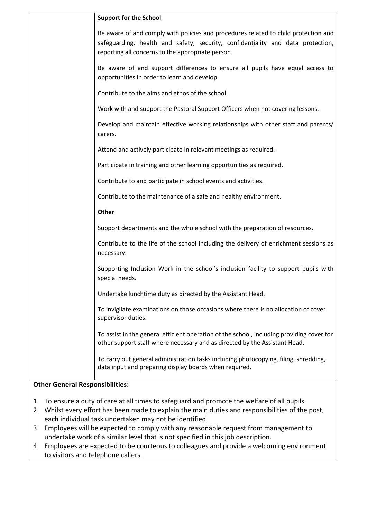| <b>Support for the School</b>                                                                                                                                                                                               |
|-----------------------------------------------------------------------------------------------------------------------------------------------------------------------------------------------------------------------------|
| Be aware of and comply with policies and procedures related to child protection and<br>safeguarding, health and safety, security, confidentiality and data protection,<br>reporting all concerns to the appropriate person. |
| Be aware of and support differences to ensure all pupils have equal access to<br>opportunities in order to learn and develop                                                                                                |
| Contribute to the aims and ethos of the school.                                                                                                                                                                             |
| Work with and support the Pastoral Support Officers when not covering lessons.                                                                                                                                              |
| Develop and maintain effective working relationships with other staff and parents/<br>carers.                                                                                                                               |
| Attend and actively participate in relevant meetings as required.                                                                                                                                                           |
| Participate in training and other learning opportunities as required.                                                                                                                                                       |
| Contribute to and participate in school events and activities.                                                                                                                                                              |
| Contribute to the maintenance of a safe and healthy environment.                                                                                                                                                            |
| <b>Other</b>                                                                                                                                                                                                                |
| Support departments and the whole school with the preparation of resources.                                                                                                                                                 |
| Contribute to the life of the school including the delivery of enrichment sessions as<br>necessary.                                                                                                                         |
| Supporting Inclusion Work in the school's inclusion facility to support pupils with<br>special needs.                                                                                                                       |
| Undertake lunchtime duty as directed by the Assistant Head.                                                                                                                                                                 |
| To invigilate examinations on those occasions where there is no allocation of cover<br>supervisor duties.                                                                                                                   |
| To assist in the general efficient operation of the school, including providing cover for<br>other support staff where necessary and as directed by the Assistant Head.                                                     |
| To carry out general administration tasks including photocopying, filing, shredding,<br>data input and preparing display boards when required.                                                                              |

## **Other General Responsibilities:**

- 1. To ensure a duty of care at all times to safeguard and promote the welfare of all pupils.
- 2. Whilst every effort has been made to explain the main duties and responsibilities of the post, each individual task undertaken may not be identified.
- 3. Employees will be expected to comply with any reasonable request from management to undertake work of a similar level that is not specified in this job description.
- 4. Employees are expected to be courteous to colleagues and provide a welcoming environment to visitors and telephone callers.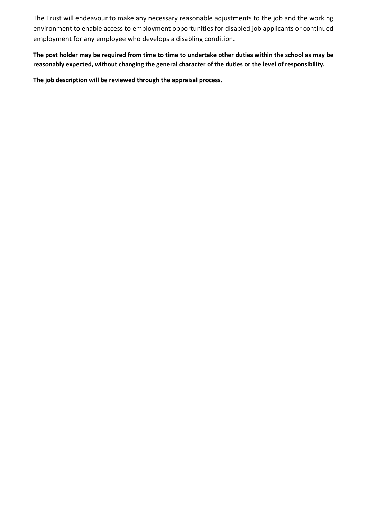The Trust will endeavour to make any necessary reasonable adjustments to the job and the working environment to enable access to employment opportunities for disabled job applicants or continued employment for any employee who develops a disabling condition.

**The post holder may be required from time to time to undertake other duties within the school as may be reasonably expected, without changing the general character of the duties or the level of responsibility.**

**The job description will be reviewed through the appraisal process.**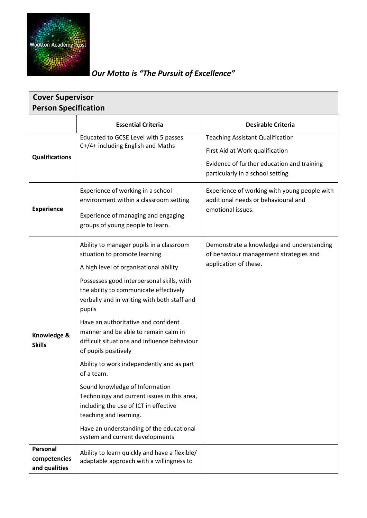

## *Our Motto is "The Pursuit of Excellence"*

| <b>Cover Supervisor</b>                   |                                                                                                                                                                                                                                                                                                                                                                                                                                                                                                                                                                                                                                                                                                                          |                                                                                                                                                              |  |  |
|-------------------------------------------|--------------------------------------------------------------------------------------------------------------------------------------------------------------------------------------------------------------------------------------------------------------------------------------------------------------------------------------------------------------------------------------------------------------------------------------------------------------------------------------------------------------------------------------------------------------------------------------------------------------------------------------------------------------------------------------------------------------------------|--------------------------------------------------------------------------------------------------------------------------------------------------------------|--|--|
| <b>Person Specification</b>               |                                                                                                                                                                                                                                                                                                                                                                                                                                                                                                                                                                                                                                                                                                                          |                                                                                                                                                              |  |  |
|                                           | <b>Essential Criteria</b>                                                                                                                                                                                                                                                                                                                                                                                                                                                                                                                                                                                                                                                                                                | <b>Desirable Criteria</b>                                                                                                                                    |  |  |
| <b>Qualifications</b>                     | Educated to GCSE Level with 5 passes<br>C+/4+ including English and Maths                                                                                                                                                                                                                                                                                                                                                                                                                                                                                                                                                                                                                                                | <b>Teaching Assistant Qualification</b><br>First Aid at Work qualification<br>Evidence of further education and training<br>particularly in a school setting |  |  |
| <b>Experience</b>                         | Experience of working in a school<br>environment within a classroom setting<br>Experience of managing and engaging<br>groups of young people to learn.                                                                                                                                                                                                                                                                                                                                                                                                                                                                                                                                                                   | Experience of working with young people with<br>additional needs or behavioural and<br>emotional issues.                                                     |  |  |
| Knowledge &<br><b>Skills</b>              | Ability to manager pupils in a classroom<br>situation to promote learning<br>A high level of organisational ability<br>Possesses good interpersonal skills, with<br>the ability to communicate effectively<br>verbally and in writing with both staff and<br>pupils<br>Have an authoritative and confident<br>manner and be able to remain calm in<br>difficult situations and influence behaviour<br>of pupils positively<br>Ability to work independently and as part<br>of a team.<br>Sound knowledge of Information<br>Technology and current issues in this area,<br>including the use of ICT in effective<br>teaching and learning.<br>Have an understanding of the educational<br>system and current developments | Demonstrate a knowledge and understanding<br>of behaviour management strategies and<br>application of these.                                                 |  |  |
| Personal<br>competencies<br>and qualities | Ability to learn quickly and have a flexible/<br>adaptable approach with a willingness to                                                                                                                                                                                                                                                                                                                                                                                                                                                                                                                                                                                                                                |                                                                                                                                                              |  |  |